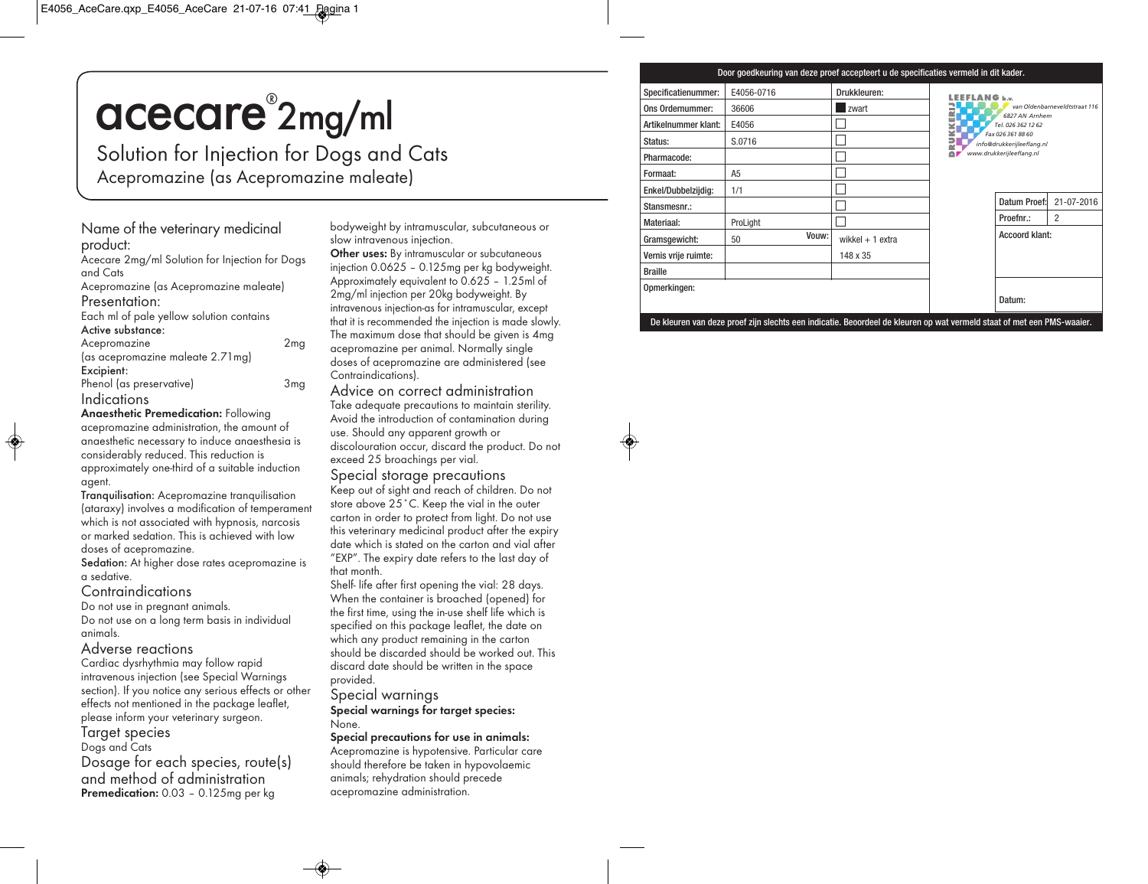# acecare® 2mg/ml

Solution for Injection for Dogs and Cats Acepromazine (as Acepromazine maleate)

# Name of the veterinary medicinal product:

Acecare 2mg/ml Solution for Injection for Dogs and Cats

Acepromazine (as Acepromazine maleate)

### Presentation:

Each ml of pale yellow solution contains Active substance:

| Acepromazine                      | 2 <sub>mg</sub> |
|-----------------------------------|-----------------|
| (as acepromazine maleate 2.71 mg) |                 |
| Excipient:                        |                 |
| Phenol (as preservative)          | 3mg             |
| Indications                       |                 |

**Anaesthetic Premedication:** Following acepromazine administration, the amount of anaesthetic necessary to induce anaesthesia is considerably reduced. This reduction is approximately one-third of a suitable induction agent.

Tranquilisation: Acepromazine tranquilisation (ataraxy) involves a modification of temperament which is not associated with hypnosis, narcosis or marked sedation. This is achieved with low doses of acepromazine.

Sedation: At higher dose rates acepromazine is a sedative.

### Contraindications

Do not use in pregnant animals. Do not use on a long term basis in individual animals.

# Adverse reactions

Cardiac dysrhythmia may follow rapid intravenous injection (see Special Warnings section). If you notice any serious effects or other effects not mentioned in the package leaflet, please inform your veterinary surgeon.

# Target species

Dogs and Cats

Dosage for each species, route(s) and method of administration **Premedication:** 0.03 – 0.125mg per kg

bodyweight by intramuscular, subcutaneous or slow intravenous injection.

**Other uses:** By intramuscular or subcutaneous injection 0.0625 – 0.125mg per kg bodyweight. Approximately equivalent to 0.625 – 1.25ml of 2mg/ml injection per 20kg bodyweight. By intravenous injection-as for intramuscular, except that it is recommended the injection is made slowly. The maximum dose that should be given is 4mg acepromazine per animal. Normally single doses of acepromazine are administered (see Contraindications).

# Advice on correct administration

Take adequate precautions to maintain sterility. Avoid the introduction of contamination during use. Should any apparent growth or discolouration occur, discard the product. Do not exceed 25 broachings per vial.

# Special storage precautions

Keep out of sight and reach of children. Do not store above 25˚C. Keep the vial in the outer carton in order to protect from light. Do not use this veterinary medicinal product after the expiry date which is stated on the carton and vial after "EXP". The expiry date refers to the last day of that month.

Shelf- life after first opening the vial: 28 days. When the container is broached (opened) for the first time, using the in-use shelf life which is specified on this package leaflet, the date on which any product remaining in the carton should be discarded should be worked out. This discard date should be written in the space provided.

# Special warnings

**Special warnings for target species:** None.

# **Special precautions for use in animals:**

Acepromazine is hypotensive. Particular care should therefore be taken in hypovolaemic animals; rehydration should precede acepromazine administration.